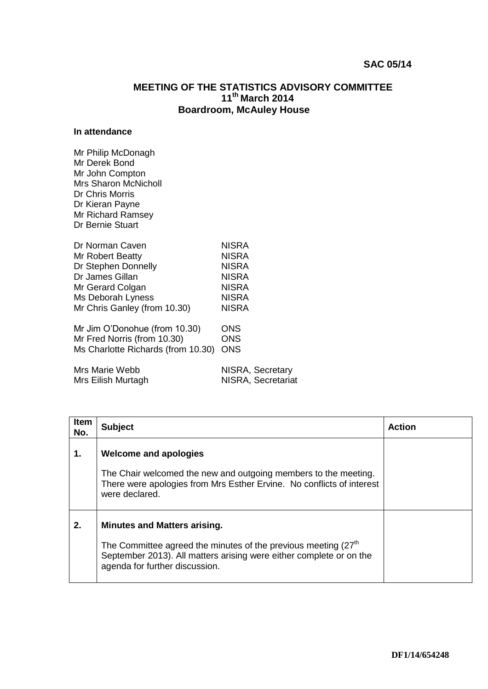## **SAC 05/14**

## **MEETING OF THE STATISTICS ADVISORY COMMITTEE 11th March 2014 Boardroom, McAuley House**

## **In attendance**

| Mr Philip McDonagh<br>Mr Derek Bond<br>Mr John Compton<br><b>Mrs Sharon McNicholl</b><br>Dr Chris Morris<br>Dr Kieran Payne<br>Mr Richard Ramsey<br>Dr Bernie Stuart |                    |
|----------------------------------------------------------------------------------------------------------------------------------------------------------------------|--------------------|
| Dr Norman Caven                                                                                                                                                      | <b>NISRA</b>       |
| Mr Robert Beatty                                                                                                                                                     | <b>NISRA</b>       |
| Dr Stephen Donnelly                                                                                                                                                  | <b>NISRA</b>       |
| Dr James Gillan                                                                                                                                                      | <b>NISRA</b>       |
| Mr Gerard Colgan                                                                                                                                                     | <b>NISRA</b>       |
| Ms Deborah Lyness                                                                                                                                                    | <b>NISRA</b>       |
| Mr Chris Ganley (from 10.30)                                                                                                                                         | <b>NISRA</b>       |
| Mr Jim O'Donohue (from 10.30)                                                                                                                                        | ONS                |
| Mr Fred Norris (from 10.30)                                                                                                                                          | <b>ONS</b>         |
| Ms Charlotte Richards (from 10.30)                                                                                                                                   | <b>ONS</b>         |
| Mrs Marie Webb                                                                                                                                                       | NISRA, Secretary   |
| Mrs Eilish Murtagh                                                                                                                                                   | NISRA, Secretariat |

| <b>Item</b><br>No. | <b>Subject</b>                                                                                                                                                                                                               | <b>Action</b> |
|--------------------|------------------------------------------------------------------------------------------------------------------------------------------------------------------------------------------------------------------------------|---------------|
| 1.                 | <b>Welcome and apologies</b>                                                                                                                                                                                                 |               |
|                    | The Chair welcomed the new and outgoing members to the meeting.<br>There were apologies from Mrs Esther Ervine. No conflicts of interest<br>were declared.                                                                   |               |
| 2.                 | <b>Minutes and Matters arising.</b><br>The Committee agreed the minutes of the previous meeting (27 <sup>th</sup> )<br>September 2013). All matters arising were either complete or on the<br>agenda for further discussion. |               |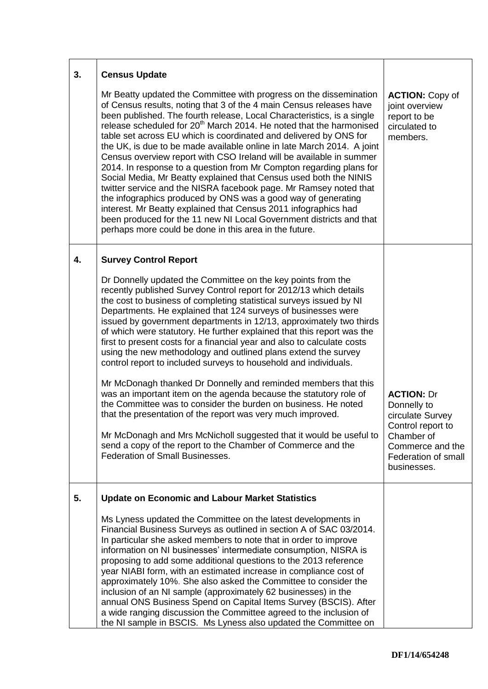| 3. | <b>Census Update</b>                                                                                                                                                                                                                                                                                                                                                                                                                                                                                                                                                                                                                                                                                                                                                                                                                                                                                                                                                                                                                                                                          |                                                                                                                                                   |
|----|-----------------------------------------------------------------------------------------------------------------------------------------------------------------------------------------------------------------------------------------------------------------------------------------------------------------------------------------------------------------------------------------------------------------------------------------------------------------------------------------------------------------------------------------------------------------------------------------------------------------------------------------------------------------------------------------------------------------------------------------------------------------------------------------------------------------------------------------------------------------------------------------------------------------------------------------------------------------------------------------------------------------------------------------------------------------------------------------------|---------------------------------------------------------------------------------------------------------------------------------------------------|
|    | Mr Beatty updated the Committee with progress on the dissemination<br>of Census results, noting that 3 of the 4 main Census releases have<br>been published. The fourth release, Local Characteristics, is a single<br>release scheduled for 20 <sup>th</sup> March 2014. He noted that the harmonised<br>table set across EU which is coordinated and delivered by ONS for<br>the UK, is due to be made available online in late March 2014. A joint<br>Census overview report with CSO Ireland will be available in summer<br>2014. In response to a question from Mr Compton regarding plans for<br>Social Media, Mr Beatty explained that Census used both the NINIS<br>twitter service and the NISRA facebook page. Mr Ramsey noted that<br>the infographics produced by ONS was a good way of generating<br>interest. Mr Beatty explained that Census 2011 infographics had<br>been produced for the 11 new NI Local Government districts and that<br>perhaps more could be done in this area in the future.                                                                            | <b>ACTION: Copy of</b><br>joint overview<br>report to be<br>circulated to<br>members.                                                             |
| 4. | <b>Survey Control Report</b>                                                                                                                                                                                                                                                                                                                                                                                                                                                                                                                                                                                                                                                                                                                                                                                                                                                                                                                                                                                                                                                                  |                                                                                                                                                   |
|    | Dr Donnelly updated the Committee on the key points from the<br>recently published Survey Control report for 2012/13 which details<br>the cost to business of completing statistical surveys issued by NI<br>Departments. He explained that 124 surveys of businesses were<br>issued by government departments in 12/13, approximately two thirds<br>of which were statutory. He further explained that this report was the<br>first to present costs for a financial year and also to calculate costs<br>using the new methodology and outlined plans extend the survey<br>control report to included surveys to household and individuals.<br>Mr McDonagh thanked Dr Donnelly and reminded members that this<br>was an important item on the agenda because the statutory role of<br>the Committee was to consider the burden on business. He noted<br>that the presentation of the report was very much improved.<br>Mr McDonagh and Mrs McNicholl suggested that it would be useful to<br>send a copy of the report to the Chamber of Commerce and the<br>Federation of Small Businesses. | <b>ACTION: Dr</b><br>Donnelly to<br>circulate Survey<br>Control report to<br>Chamber of<br>Commerce and the<br>Federation of small<br>businesses. |
| 5. | <b>Update on Economic and Labour Market Statistics</b>                                                                                                                                                                                                                                                                                                                                                                                                                                                                                                                                                                                                                                                                                                                                                                                                                                                                                                                                                                                                                                        |                                                                                                                                                   |
|    | Ms Lyness updated the Committee on the latest developments in<br>Financial Business Surveys as outlined in section A of SAC 03/2014.<br>In particular she asked members to note that in order to improve<br>information on NI businesses' intermediate consumption, NISRA is<br>proposing to add some additional questions to the 2013 reference<br>year NIABI form, with an estimated increase in compliance cost of<br>approximately 10%. She also asked the Committee to consider the<br>inclusion of an NI sample (approximately 62 businesses) in the<br>annual ONS Business Spend on Capital Items Survey (BSCIS). After<br>a wide ranging discussion the Committee agreed to the inclusion of<br>the NI sample in BSCIS. Ms Lyness also updated the Committee on                                                                                                                                                                                                                                                                                                                       |                                                                                                                                                   |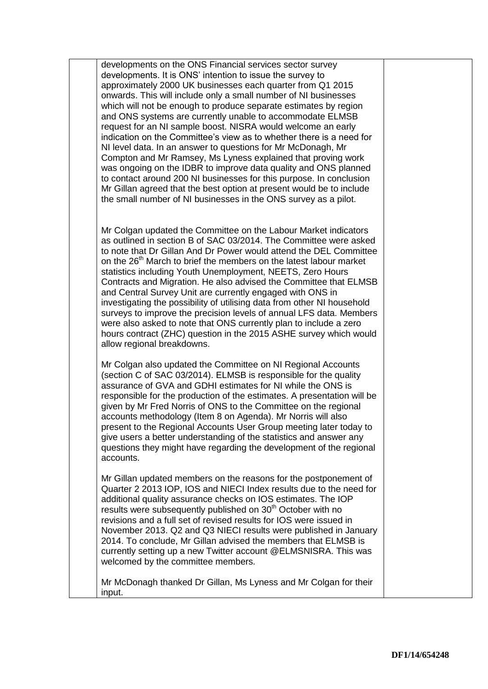developments on the ONS Financial services sector survey developments. It is ONS' intention to issue the survey to approximately 2000 UK businesses each quarter from Q1 2015 onwards. This will include only a small number of NI businesses which will not be enough to produce separate estimates by region and ONS systems are currently unable to accommodate ELMSB request for an NI sample boost. NISRA would welcome an early indication on the Committee's view as to whether there is a need for NI level data. In an answer to questions for Mr McDonagh, Mr Compton and Mr Ramsey, Ms Lyness explained that proving work was ongoing on the IDBR to improve data quality and ONS planned to contact around 200 NI businesses for this purpose. In conclusion Mr Gillan agreed that the best option at present would be to include the small number of NI businesses in the ONS survey as a pilot.

Mr Colgan updated the Committee on the Labour Market indicators as outlined in section B of SAC 03/2014. The Committee were asked to note that Dr Gillan And Dr Power would attend the DEL Committee on the 26<sup>th</sup> March to brief the members on the latest labour market statistics including Youth Unemployment, NEETS, Zero Hours Contracts and Migration. He also advised the Committee that ELMSB and Central Survey Unit are currently engaged with ONS in investigating the possibility of utilising data from other NI household surveys to improve the precision levels of annual LFS data. Members were also asked to note that ONS currently plan to include a zero hours contract (ZHC) question in the 2015 ASHE survey which would allow regional breakdowns.

Mr Colgan also updated the Committee on NI Regional Accounts (section C of SAC 03/2014). ELMSB is responsible for the quality assurance of GVA and GDHI estimates for NI while the ONS is responsible for the production of the estimates. A presentation will be given by Mr Fred Norris of ONS to the Committee on the regional accounts methodology (Item 8 on Agenda). Mr Norris will also present to the Regional Accounts User Group meeting later today to give users a better understanding of the statistics and answer any questions they might have regarding the development of the regional accounts.

Mr Gillan updated members on the reasons for the postponement of Quarter 2 2013 IOP, IOS and NIECI Index results due to the need for additional quality assurance checks on IOS estimates. The IOP results were subsequently published on 30<sup>th</sup> October with no revisions and a full set of revised results for IOS were issued in November 2013. Q2 and Q3 NIECI results were published in January 2014. To conclude, Mr Gillan advised the members that ELMSB is currently setting up a new Twitter account @ELMSNISRA. This was welcomed by the committee members.

Mr McDonagh thanked Dr Gillan, Ms Lyness and Mr Colgan for their input.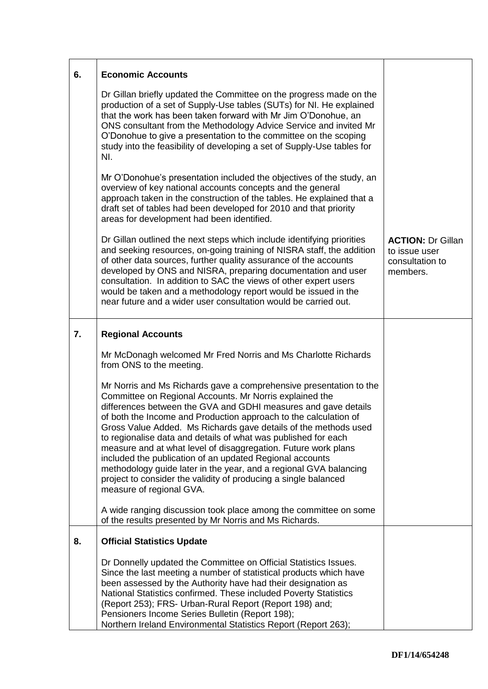| 6. | <b>Economic Accounts</b>                                                                                                                                                                                                                                                                                                                                                                                                                                                                                                                                                                                                                                                                                   |                                                                          |
|----|------------------------------------------------------------------------------------------------------------------------------------------------------------------------------------------------------------------------------------------------------------------------------------------------------------------------------------------------------------------------------------------------------------------------------------------------------------------------------------------------------------------------------------------------------------------------------------------------------------------------------------------------------------------------------------------------------------|--------------------------------------------------------------------------|
|    | Dr Gillan briefly updated the Committee on the progress made on the<br>production of a set of Supply-Use tables (SUTs) for NI. He explained<br>that the work has been taken forward with Mr Jim O'Donohue, an<br>ONS consultant from the Methodology Advice Service and invited Mr<br>O'Donohue to give a presentation to the committee on the scoping<br>study into the feasibility of developing a set of Supply-Use tables for<br>NI.                                                                                                                                                                                                                                                                   |                                                                          |
|    | Mr O'Donohue's presentation included the objectives of the study, an<br>overview of key national accounts concepts and the general<br>approach taken in the construction of the tables. He explained that a<br>draft set of tables had been developed for 2010 and that priority<br>areas for development had been identified.                                                                                                                                                                                                                                                                                                                                                                             |                                                                          |
|    | Dr Gillan outlined the next steps which include identifying priorities<br>and seeking resources, on-going training of NISRA staff, the addition<br>of other data sources, further quality assurance of the accounts<br>developed by ONS and NISRA, preparing documentation and user<br>consultation. In addition to SAC the views of other expert users<br>would be taken and a methodology report would be issued in the<br>near future and a wider user consultation would be carried out.                                                                                                                                                                                                               | <b>ACTION: Dr Gillan</b><br>to issue user<br>consultation to<br>members. |
| 7. | <b>Regional Accounts</b>                                                                                                                                                                                                                                                                                                                                                                                                                                                                                                                                                                                                                                                                                   |                                                                          |
|    | Mr McDonagh welcomed Mr Fred Norris and Ms Charlotte Richards<br>from ONS to the meeting.                                                                                                                                                                                                                                                                                                                                                                                                                                                                                                                                                                                                                  |                                                                          |
|    | Mr Norris and Ms Richards gave a comprehensive presentation to the<br>Committee on Regional Accounts. Mr Norris explained the<br>differences between the GVA and GDHI measures and gave details<br>of both the Income and Production approach to the calculation of<br>Gross Value Added. Ms Richards gave details of the methods used<br>to regionalise data and details of what was published for each<br>measure and at what level of disaggregation. Future work plans<br>included the publication of an updated Regional accounts<br>methodology guide later in the year, and a regional GVA balancing<br>project to consider the validity of producing a single balanced<br>measure of regional GVA. |                                                                          |
|    | A wide ranging discussion took place among the committee on some<br>of the results presented by Mr Norris and Ms Richards.                                                                                                                                                                                                                                                                                                                                                                                                                                                                                                                                                                                 |                                                                          |
| 8. | <b>Official Statistics Update</b>                                                                                                                                                                                                                                                                                                                                                                                                                                                                                                                                                                                                                                                                          |                                                                          |
|    | Dr Donnelly updated the Committee on Official Statistics Issues.<br>Since the last meeting a number of statistical products which have<br>been assessed by the Authority have had their designation as<br>National Statistics confirmed. These included Poverty Statistics<br>(Report 253); FRS- Urban-Rural Report (Report 198) and;<br>Pensioners Income Series Bulletin (Report 198);<br>Northern Ireland Environmental Statistics Report (Report 263);                                                                                                                                                                                                                                                 |                                                                          |